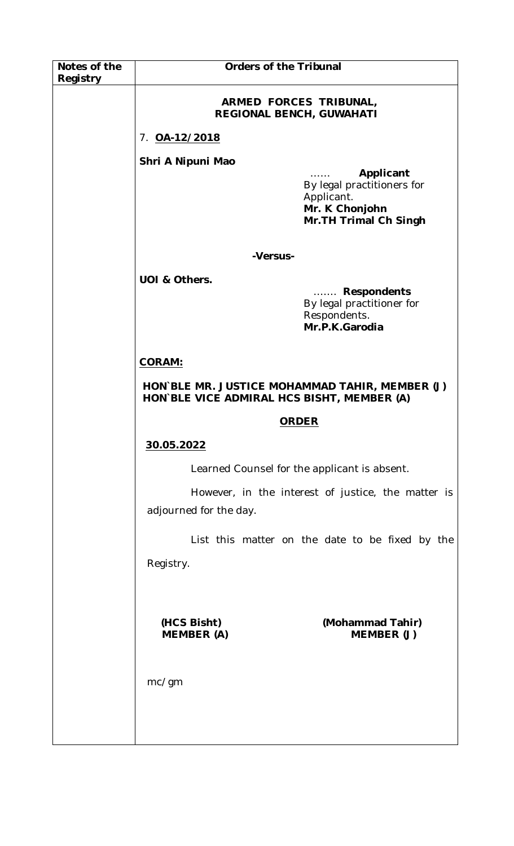| Notes of the<br>Registry | <b>Orders of the Tribunal</b>                                                                |                                                                                                   |
|--------------------------|----------------------------------------------------------------------------------------------|---------------------------------------------------------------------------------------------------|
|                          | ARMED FORCES TRIBUNAL,<br><b>REGIONAL BENCH, GUWAHATI</b>                                    |                                                                                                   |
|                          | 7. 0A-12/2018                                                                                |                                                                                                   |
|                          | Shri A Nipuni Mao                                                                            | Applicant<br>By legal practitioners for<br>Applicant.<br>Mr. K Chonjohn<br>Mr. TH Trimal Ch Singh |
|                          |                                                                                              |                                                                                                   |
|                          | -Versus-                                                                                     |                                                                                                   |
|                          | UOI & Others.                                                                                | Respondents<br>By legal practitioner for<br>Respondents.<br>Mr.P.K.Garodia                        |
|                          | <b>CORAM:</b>                                                                                |                                                                                                   |
|                          | HON BLE MR. JUSTICE MOHAMMAD TAHIR, MEMBER (J)<br>HON BLE VICE ADMIRAL HCS BISHT, MEMBER (A) |                                                                                                   |
|                          | <b>ORDER</b>                                                                                 |                                                                                                   |
|                          | 30.05.2022                                                                                   |                                                                                                   |
|                          | Learned Counsel for the applicant is absent.                                                 |                                                                                                   |
|                          | adjourned for the day.                                                                       | However, in the interest of justice, the matter is                                                |
|                          |                                                                                              | List this matter on the date to be fixed by the                                                   |
|                          | Registry.                                                                                    |                                                                                                   |
|                          |                                                                                              |                                                                                                   |
|                          | (HCS Bisht)<br><b>MEMBER</b> (A)                                                             | (Mohammad Tahir)<br>MEMBER (J)                                                                    |
|                          | mc/gm                                                                                        |                                                                                                   |
|                          |                                                                                              |                                                                                                   |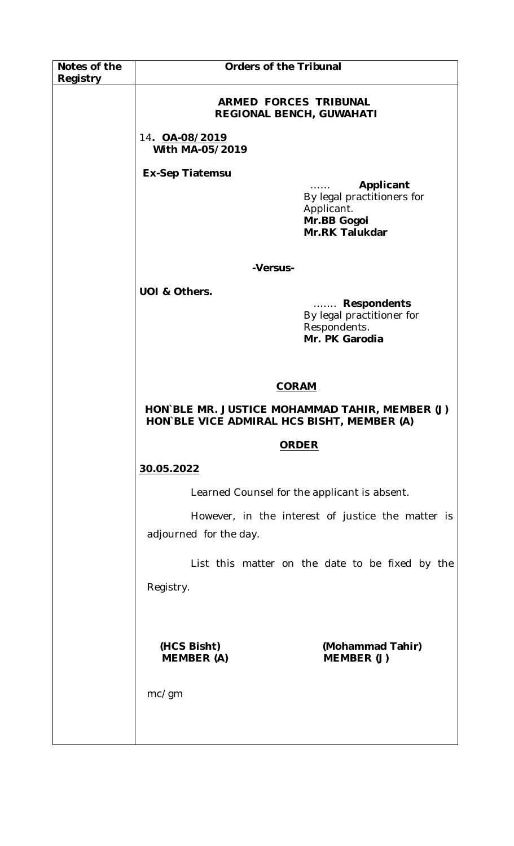| Notes of the<br>Registry | <b>Orders of the Tribunal</b>                                                                |                                                                                               |
|--------------------------|----------------------------------------------------------------------------------------------|-----------------------------------------------------------------------------------------------|
|                          | ARMED FORCES TRIBUNAL<br>REGIONAL BENCH, GUWAHATI                                            |                                                                                               |
|                          | 14. OA-08/2019<br>With MA-05/2019                                                            |                                                                                               |
|                          | <b>Ex-Sep Tiatemsu</b>                                                                       |                                                                                               |
|                          |                                                                                              | Applicant<br>By legal practitioners for<br>Applicant.<br>Mr.BB Gogoi<br><b>Mr.RK Talukdar</b> |
|                          | -Versus-                                                                                     |                                                                                               |
|                          | UOI & Others.                                                                                |                                                                                               |
|                          |                                                                                              | <b>Respondents</b><br>.<br>By legal practitioner for<br>Respondents.<br>Mr. PK Garodia        |
|                          | <b>CORAM</b>                                                                                 |                                                                                               |
|                          | HON BLE MR. JUSTICE MOHAMMAD TAHIR, MEMBER (J)<br>HON BLE VICE ADMIRAL HCS BISHT, MEMBER (A) |                                                                                               |
|                          | <b>ORDER</b>                                                                                 |                                                                                               |
|                          | 30.05.2022                                                                                   |                                                                                               |
|                          | Learned Counsel for the applicant is absent.                                                 |                                                                                               |
|                          | adjourned for the day.                                                                       | However, in the interest of justice the matter is                                             |
|                          |                                                                                              | List this matter on the date to be fixed by the                                               |
|                          | Registry.                                                                                    |                                                                                               |
|                          | (HCS Bisht)<br><b>MEMBER (A)</b>                                                             | (Mohammad Tahir)<br>MEMBER (J)                                                                |
|                          | mc/gm                                                                                        |                                                                                               |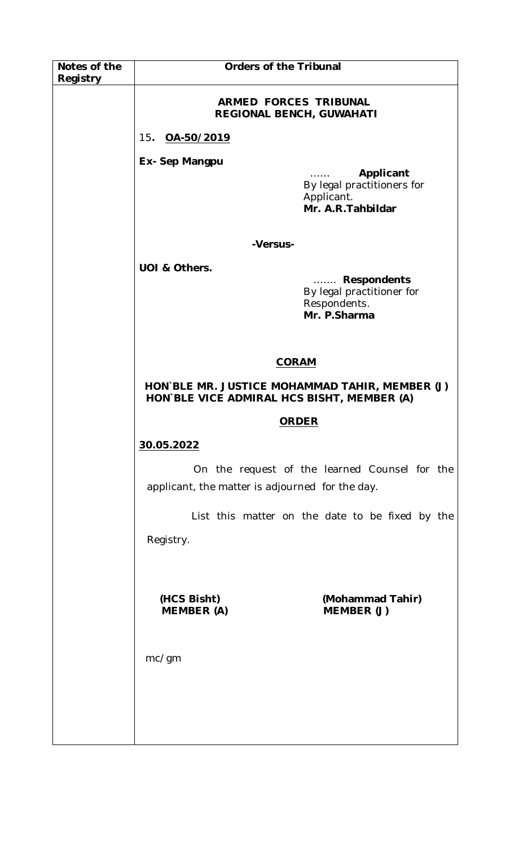| Notes of the | <b>Orders of the Tribunal</b>                                                                |                                                                                      |
|--------------|----------------------------------------------------------------------------------------------|--------------------------------------------------------------------------------------|
| Registry     | <b>ARMED FORCES TRIBUNAL</b><br>REGIONAL BENCH, GUWAHATI                                     |                                                                                      |
|              | 15. OA-50/2019                                                                               |                                                                                      |
|              | Ex- Sep Mangpu                                                                               | Applicant<br>.<br>By legal practitioners for<br>Applicant.<br>Mr. A.R. Tahbildar     |
|              | -Versus-                                                                                     |                                                                                      |
|              | UOI & Others.                                                                                | <b>Respondents</b><br>.<br>By legal practitioner for<br>Respondents.<br>Mr. P.Sharma |
|              | <b>CORAM</b>                                                                                 |                                                                                      |
|              | HON BLE MR. JUSTICE MOHAMMAD TAHIR, MEMBER (J)<br>HON BLE VICE ADMIRAL HCS BISHT, MEMBER (A) |                                                                                      |
|              | <b>ORDER</b>                                                                                 |                                                                                      |
|              | 30.05.2022                                                                                   |                                                                                      |
|              | applicant, the matter is adjourned for the day.                                              | On the request of the learned Counsel for the                                        |
|              |                                                                                              | List this matter on the date to be fixed by the                                      |
|              | Registry.                                                                                    |                                                                                      |
|              | (HCS Bisht)<br><b>MEMBER (A)</b>                                                             | (Mohammad Tahir)<br>MEMBER (J)                                                       |
|              | mc/gm                                                                                        |                                                                                      |
|              |                                                                                              |                                                                                      |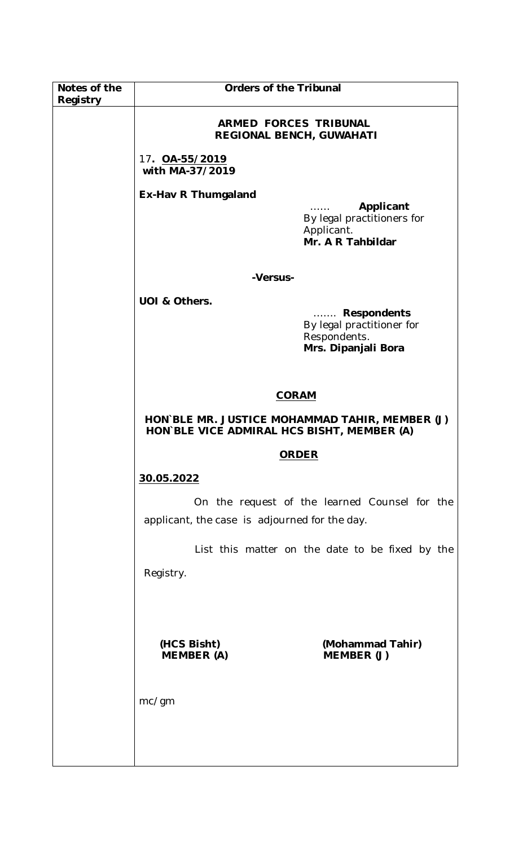| Notes of the<br>Registry | <b>Orders of the Tribunal</b>                                                                |                                                                                             |
|--------------------------|----------------------------------------------------------------------------------------------|---------------------------------------------------------------------------------------------|
|                          | <b>ARMED FORCES TRIBUNAL</b><br><b>REGIONAL BENCH, GUWAHATI</b>                              |                                                                                             |
|                          | 17. <b>OA-55/2019</b><br>with MA-37/2019                                                     |                                                                                             |
|                          | <b>Ex-Hav R Thumgaland</b>                                                                   |                                                                                             |
|                          |                                                                                              | Applicant<br>By legal practitioners for<br>Applicant.<br>Mr. A R Tahbildar                  |
|                          | -Versus-                                                                                     |                                                                                             |
|                          | UOI & Others.                                                                                | <b>Respondents</b><br>.<br>By legal practitioner for<br>Respondents.<br>Mrs. Dipanjali Bora |
|                          | <b>CORAM</b>                                                                                 |                                                                                             |
|                          | HON BLE MR. JUSTICE MOHAMMAD TAHIR, MEMBER (J)<br>HON BLE VICE ADMIRAL HCS BISHT, MEMBER (A) |                                                                                             |
|                          | <b>ORDER</b>                                                                                 |                                                                                             |
|                          | 30.05.2022                                                                                   |                                                                                             |
|                          | applicant, the case is adjourned for the day.                                                | On the request of the learned Counsel for the                                               |
|                          |                                                                                              | List this matter on the date to be fixed by the                                             |
|                          | Registry.                                                                                    |                                                                                             |
|                          |                                                                                              |                                                                                             |
|                          | (HCS Bisht)<br><b>MEMBER (A)</b>                                                             | (Mohammad Tahir)<br>MEMBER (J)                                                              |
|                          | mc/gm                                                                                        |                                                                                             |
|                          |                                                                                              |                                                                                             |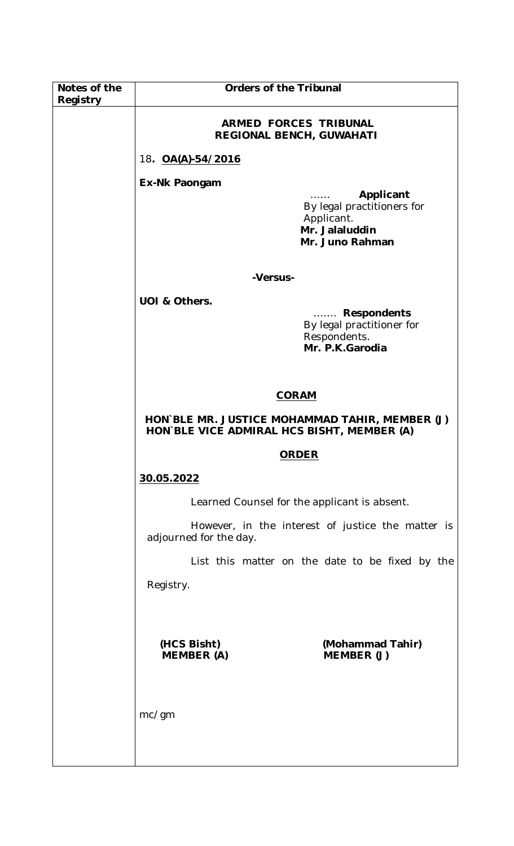| Notes of the<br>Registry | <b>Orders of the Tribunal</b>                                                                |                                                                                         |
|--------------------------|----------------------------------------------------------------------------------------------|-----------------------------------------------------------------------------------------|
|                          | <b>ARMED FORCES TRIBUNAL</b><br>REGIONAL BENCH, GUWAHATI                                     |                                                                                         |
|                          | 18. <b>OA(A)-54/2016</b>                                                                     |                                                                                         |
|                          | Ex-Nk Paongam                                                                                | Applicant<br>1.1.1.1.1                                                                  |
|                          |                                                                                              | By legal practitioners for<br>Applicant.<br>Mr. Jalaluddin<br>Mr. Juno Rahman           |
|                          | -Versus-                                                                                     |                                                                                         |
|                          | UOI & Others.                                                                                | <b>Respondents</b><br>.<br>By legal practitioner for<br>Respondents.<br>Mr. P.K.Garodia |
|                          | <b>CORAM</b>                                                                                 |                                                                                         |
|                          | HON BLE MR. JUSTICE MOHAMMAD TAHIR, MEMBER (J)<br>HON BLE VICE ADMIRAL HCS BISHT, MEMBER (A) |                                                                                         |
|                          | <b>ORDER</b>                                                                                 |                                                                                         |
|                          | 30.05.2022                                                                                   |                                                                                         |
|                          | Learned Counsel for the applicant is absent.                                                 |                                                                                         |
|                          | adjourned for the day.                                                                       | However, in the interest of justice the matter is                                       |
|                          |                                                                                              | List this matter on the date to be fixed by the                                         |
|                          | Registry.                                                                                    |                                                                                         |
|                          | (HCS Bisht)<br><b>MEMBER (A)</b>                                                             | (Mohammad Tahir)<br>MEMBER (J)                                                          |
|                          | mc/gm                                                                                        |                                                                                         |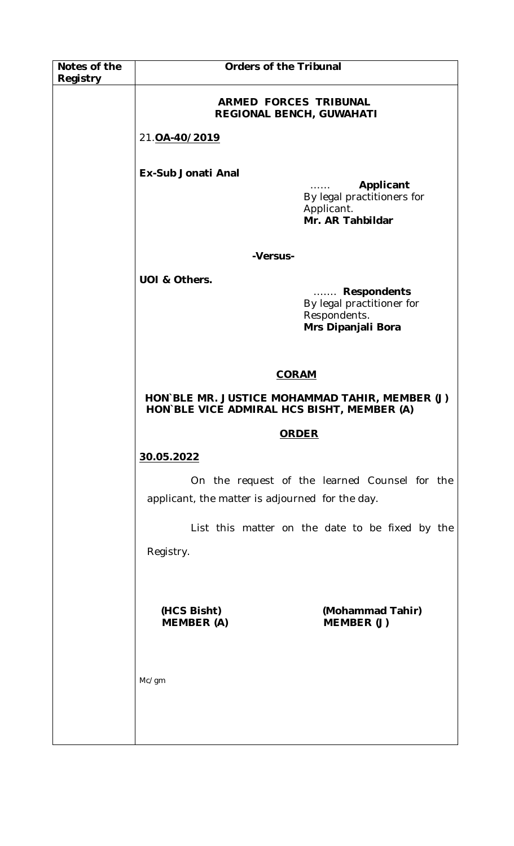| Notes of the<br>Registry | <b>Orders of the Tribunal</b>                                                                |                                                                                            |
|--------------------------|----------------------------------------------------------------------------------------------|--------------------------------------------------------------------------------------------|
|                          | ARMED FORCES TRIBUNAL<br><b>REGIONAL BENCH, GUWAHATI</b>                                     |                                                                                            |
|                          | 21.0A-40/2019                                                                                |                                                                                            |
|                          | Ex-Sub Jonati Anal                                                                           | Applicant<br>By legal practitioners for<br>Applicant.<br>Mr. AR Tahbildar                  |
|                          | -Versus-                                                                                     |                                                                                            |
|                          | UOI & Others.                                                                                | <b>Respondents</b><br>.<br>By legal practitioner for<br>Respondents.<br>Mrs Dipanjali Bora |
|                          | <b>CORAM</b>                                                                                 |                                                                                            |
|                          | HON BLE MR. JUSTICE MOHAMMAD TAHIR, MEMBER (J)<br>HON`BLE VICE ADMIRAL HCS BISHT, MEMBER (A) |                                                                                            |
|                          | <b>ORDER</b>                                                                                 |                                                                                            |
|                          | 30.05.2022                                                                                   |                                                                                            |
|                          | applicant, the matter is adjourned for the day.                                              | On the request of the learned Counsel for the                                              |
|                          | Registry.                                                                                    | List this matter on the date to be fixed by the                                            |
|                          | (HCS Bisht)<br><b>MEMBER (A)</b>                                                             | (Mohammad Tahir)<br>MEMBER (J)                                                             |
|                          | Mc/gm                                                                                        |                                                                                            |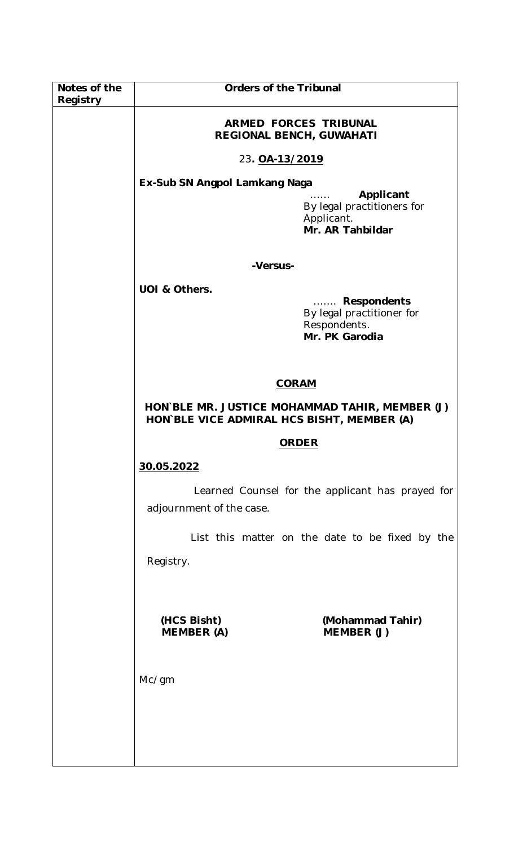| Notes of the | <b>Orders of the Tribunal</b>                                                                |                                                                            |
|--------------|----------------------------------------------------------------------------------------------|----------------------------------------------------------------------------|
| Registry     |                                                                                              |                                                                            |
|              | <b>ARMED FORCES TRIBUNAL</b><br>REGIONAL BENCH, GUWAHATI                                     |                                                                            |
|              | 23. OA-13/2019                                                                               |                                                                            |
|              | Ex-Sub SN Angpol Lamkang Naga                                                                |                                                                            |
|              |                                                                                              | Applicant<br>By legal practitioners for<br>Applicant.<br>Mr. AR Tahbildar  |
|              | -Versus-                                                                                     |                                                                            |
|              | UOI & Others.                                                                                |                                                                            |
|              |                                                                                              | Respondents<br>By legal practitioner for<br>Respondents.<br>Mr. PK Garodia |
|              | <b>CORAM</b>                                                                                 |                                                                            |
|              | HON`BLE MR. JUSTICE MOHAMMAD TAHIR, MEMBER (J)<br>HON BLE VICE ADMIRAL HCS BISHT, MEMBER (A) |                                                                            |
|              | <b>ORDER</b>                                                                                 |                                                                            |
|              | 30.05.2022                                                                                   |                                                                            |
|              | adjournment of the case.                                                                     | Learned Counsel for the applicant has prayed for                           |
|              |                                                                                              | List this matter on the date to be fixed by the                            |
|              | Registry.                                                                                    |                                                                            |
|              |                                                                                              |                                                                            |
|              | (HCS Bisht)<br><b>MEMBER (A)</b>                                                             | (Mohammad Tahir)<br>MEMBER (J)                                             |
|              | Mc/gm                                                                                        |                                                                            |
|              |                                                                                              |                                                                            |
|              |                                                                                              |                                                                            |
|              |                                                                                              |                                                                            |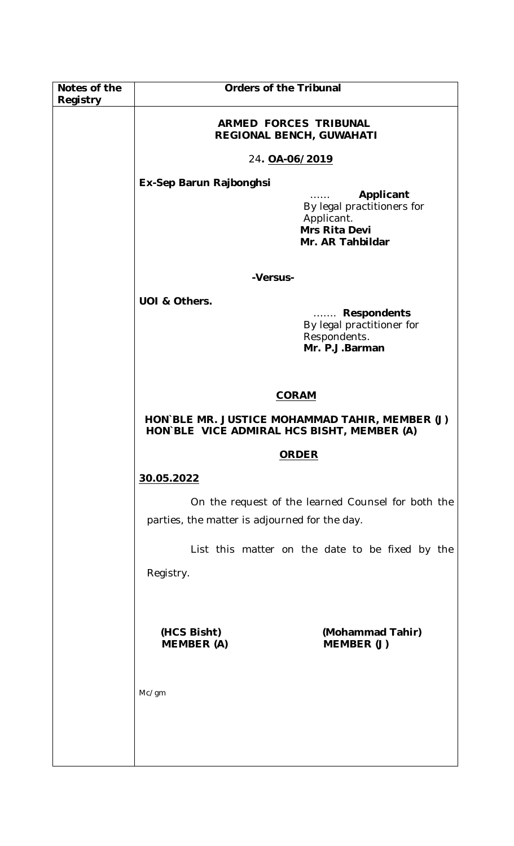| Notes of the | <b>Orders of the Tribunal</b>                                                                |                                                                                            |
|--------------|----------------------------------------------------------------------------------------------|--------------------------------------------------------------------------------------------|
| Registry     |                                                                                              |                                                                                            |
|              | <b>ARMED FORCES TRIBUNAL</b><br>REGIONAL BENCH, GUWAHATI                                     |                                                                                            |
|              | 24. OA-06/2019                                                                               |                                                                                            |
|              | Ex-Sep Barun Rajbonghsi                                                                      |                                                                                            |
|              |                                                                                              | Applicant<br>By legal practitioners for<br>Applicant.<br>Mrs Rita Devi<br>Mr. AR Tahbildar |
|              | -Versus-                                                                                     |                                                                                            |
|              | UOI & Others.                                                                                |                                                                                            |
|              |                                                                                              | <b>Respondents</b><br>.<br>By legal practitioner for<br>Respondents.<br>Mr. P.J.Barman     |
|              |                                                                                              |                                                                                            |
|              | <b>CORAM</b>                                                                                 |                                                                                            |
|              | HON BLE MR. JUSTICE MOHAMMAD TAHIR, MEMBER (J)<br>HON BLE VICE ADMIRAL HCS BISHT, MEMBER (A) |                                                                                            |
|              | <b>ORDER</b>                                                                                 |                                                                                            |
|              | 30.05.2022                                                                                   |                                                                                            |
|              | parties, the matter is adjourned for the day.                                                | On the request of the learned Counsel for both the                                         |
|              |                                                                                              | List this matter on the date to be fixed by the                                            |
|              | Registry.                                                                                    |                                                                                            |
|              |                                                                                              |                                                                                            |
|              |                                                                                              |                                                                                            |
|              | (HCS Bisht)<br><b>MEMBER (A)</b>                                                             | (Mohammad Tahir)<br>MEMBER (J)                                                             |
|              |                                                                                              |                                                                                            |
|              | Mc/gm                                                                                        |                                                                                            |
|              |                                                                                              |                                                                                            |
|              |                                                                                              |                                                                                            |
|              |                                                                                              |                                                                                            |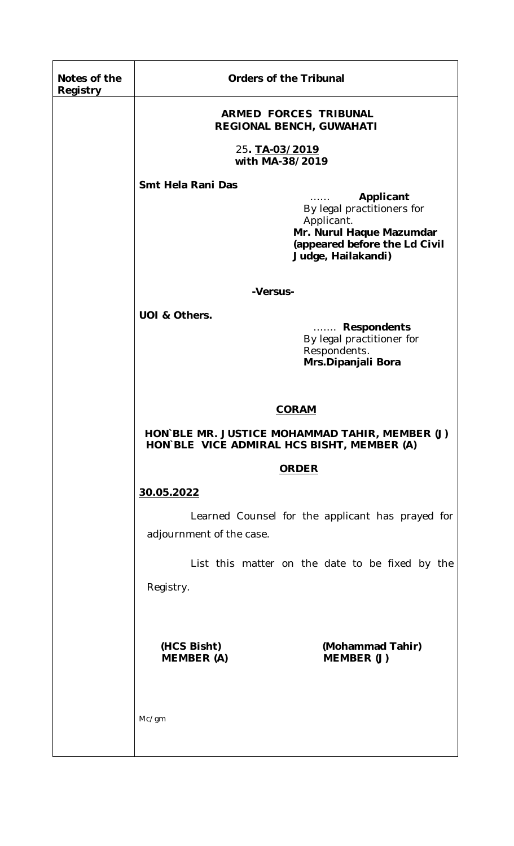| Notes of the<br>Registry | <b>Orders of the Tribunal</b>                                                                                                |                                                                                                                                                       |
|--------------------------|------------------------------------------------------------------------------------------------------------------------------|-------------------------------------------------------------------------------------------------------------------------------------------------------|
|                          | <b>ARMED FORCES TRIBUNAL</b><br><b>REGIONAL BENCH, GUWAHATI</b>                                                              |                                                                                                                                                       |
|                          | 25. TA-03/2019<br>with MA-38/2019                                                                                            |                                                                                                                                                       |
|                          | Smt Hela Rani Das                                                                                                            | Applicant<br>1.1.1.1.1<br>By legal practitioners for<br>Applicant.<br>Mr. Nurul Haque Mazumdar<br>(appeared before the Ld Civil<br>Judge, Hailakandi) |
|                          | -Versus-                                                                                                                     |                                                                                                                                                       |
|                          | UOI & Others.                                                                                                                | Respondents<br>By legal practitioner for<br>Respondents.<br>Mrs.Dipanjali Bora                                                                        |
|                          | <b>CORAM</b><br>HON BLE MR. JUSTICE MOHAMMAD TAHIR, MEMBER (J)<br>HON BLE VICE ADMIRAL HCS BISHT, MEMBER (A)<br><b>ORDER</b> |                                                                                                                                                       |
|                          |                                                                                                                              |                                                                                                                                                       |
|                          |                                                                                                                              |                                                                                                                                                       |
|                          | 30.05.2022                                                                                                                   |                                                                                                                                                       |
|                          | adjournment of the case.                                                                                                     | Learned Counsel for the applicant has prayed for                                                                                                      |
|                          | Registry.                                                                                                                    | List this matter on the date to be fixed by the                                                                                                       |
|                          | (HCS Bisht)<br><b>MEMBER (A)</b>                                                                                             | (Mohammad Tahir)<br>MEMBER (J)                                                                                                                        |
|                          | Mc/gm                                                                                                                        |                                                                                                                                                       |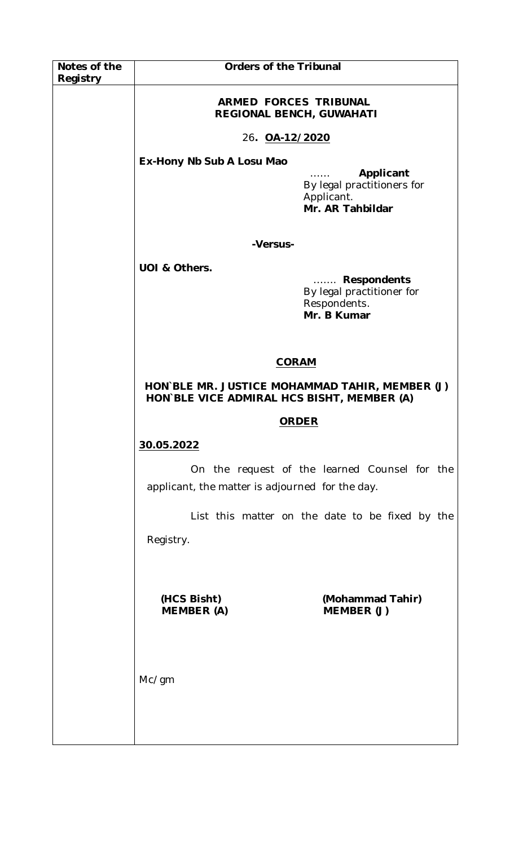| Notes of the | <b>Orders of the Tribunal</b>                                                                |                                                                                        |
|--------------|----------------------------------------------------------------------------------------------|----------------------------------------------------------------------------------------|
| Registry     |                                                                                              |                                                                                        |
|              | <b>ARMED FORCES TRIBUNAL</b><br>REGIONAL BENCH, GUWAHATI                                     |                                                                                        |
|              | 26. OA-12/2020                                                                               |                                                                                        |
|              | Ex-Hony Nb Sub A Losu Mao                                                                    |                                                                                        |
|              |                                                                                              | Applicant<br>1.1.1.1.1<br>By legal practitioners for<br>Applicant.<br>Mr. AR Tahbildar |
|              | -Versus-                                                                                     |                                                                                        |
|              | UOI & Others.                                                                                |                                                                                        |
|              |                                                                                              | Respondents<br>By legal practitioner for<br>Respondents.<br>Mr. B Kumar                |
|              | <b>CORAM</b>                                                                                 |                                                                                        |
|              | HON BLE MR. JUSTICE MOHAMMAD TAHIR, MEMBER (J)<br>HON BLE VICE ADMIRAL HCS BISHT, MEMBER (A) |                                                                                        |
|              | <b>ORDER</b>                                                                                 |                                                                                        |
|              | 30.05.2022                                                                                   |                                                                                        |
|              | applicant, the matter is adjourned for the day.                                              | On the request of the learned Counsel for the                                          |
|              |                                                                                              | List this matter on the date to be fixed by the                                        |
|              | Registry.                                                                                    |                                                                                        |
|              |                                                                                              |                                                                                        |
|              | (HCS Bisht)<br><b>MEMBER (A)</b>                                                             | (Mohammad Tahir)<br>MEMBER (J)                                                         |
|              |                                                                                              |                                                                                        |
|              | Mc/gm                                                                                        |                                                                                        |
|              |                                                                                              |                                                                                        |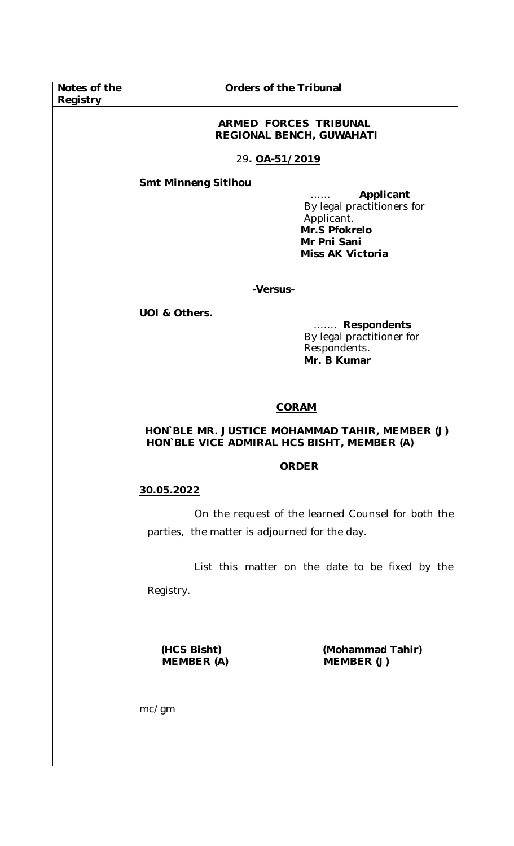| Notes of the<br>Registry | Orders of the Tribunal                                                                                           |  |
|--------------------------|------------------------------------------------------------------------------------------------------------------|--|
|                          | <b>ARMED FORCES TRIBUNAL</b><br><b>REGIONAL BENCH, GUWAHATI</b>                                                  |  |
|                          | 29. 0A-51/2019                                                                                                   |  |
|                          | <b>Smt Minneng Sitlhou</b>                                                                                       |  |
|                          | Applicant<br>By legal practitioners for<br>Applicant.<br>Mr.S Pfokrelo<br>Mr Pni Sani<br><b>Miss AK Victoria</b> |  |
|                          | -Versus-                                                                                                         |  |
|                          | UOI & Others.                                                                                                    |  |
|                          | <b>Respondents</b><br>.<br>By legal practitioner for<br>Respondents.<br>Mr. B Kumar                              |  |
|                          | <b>CORAM</b>                                                                                                     |  |
|                          | HON BLE MR. JUSTICE MOHAMMAD TAHIR, MEMBER (J)<br>HON BLE VICE ADMIRAL HCS BISHT, MEMBER (A)                     |  |
|                          | <b>ORDER</b>                                                                                                     |  |
|                          | 30.05.2022                                                                                                       |  |
|                          | On the request of the learned Counsel for both the<br>parties, the matter is adjourned for the day.              |  |
|                          | List this matter on the date to be fixed by the                                                                  |  |
|                          | Registry.                                                                                                        |  |
|                          | (HCS Bisht)<br>(Mohammad Tahir)<br><b>MEMBER (A)</b><br>MEMBER (J)                                               |  |
|                          | mc/gm                                                                                                            |  |
|                          |                                                                                                                  |  |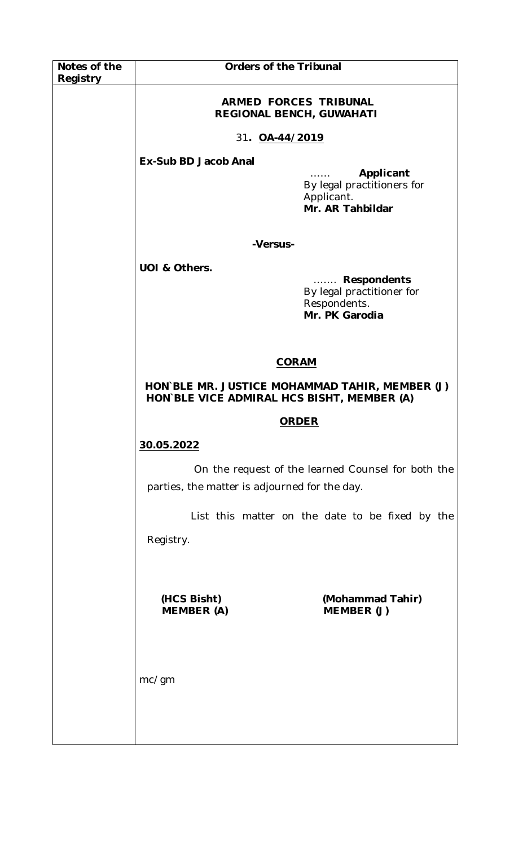| Notes of the | <b>Orders of the Tribunal</b>                                                                |                                                                                |
|--------------|----------------------------------------------------------------------------------------------|--------------------------------------------------------------------------------|
| Registry     |                                                                                              |                                                                                |
|              | <b>ARMED FORCES TRIBUNAL</b><br><b>REGIONAL BENCH, GUWAHATI</b>                              |                                                                                |
|              | 31. OA-44/2019                                                                               |                                                                                |
|              | Ex-Sub BD Jacob Anal                                                                         |                                                                                |
|              |                                                                                              | Applicant<br>.<br>By legal practitioners for<br>Applicant.<br>Mr. AR Tahbildar |
|              | -Versus-                                                                                     |                                                                                |
|              | UOI & Others.                                                                                |                                                                                |
|              |                                                                                              | Respondents<br>By legal practitioner for<br>Respondents.<br>Mr. PK Garodia     |
|              | <b>CORAM</b>                                                                                 |                                                                                |
|              | HON BLE MR. JUSTICE MOHAMMAD TAHIR, MEMBER (J)<br>HON`BLE VICE ADMIRAL HCS BISHT, MEMBER (A) |                                                                                |
|              | <b>ORDER</b>                                                                                 |                                                                                |
|              | 30.05.2022                                                                                   |                                                                                |
|              | parties, the matter is adjourned for the day.                                                | On the request of the learned Counsel for both the                             |
|              |                                                                                              | List this matter on the date to be fixed by the                                |
|              | Registry.                                                                                    |                                                                                |
|              |                                                                                              |                                                                                |
|              | (HCS Bisht)<br><b>MEMBER (A)</b>                                                             | (Mohammad Tahir)<br>MEMBER (J)                                                 |
|              |                                                                                              |                                                                                |
|              | mc/gm                                                                                        |                                                                                |
|              |                                                                                              |                                                                                |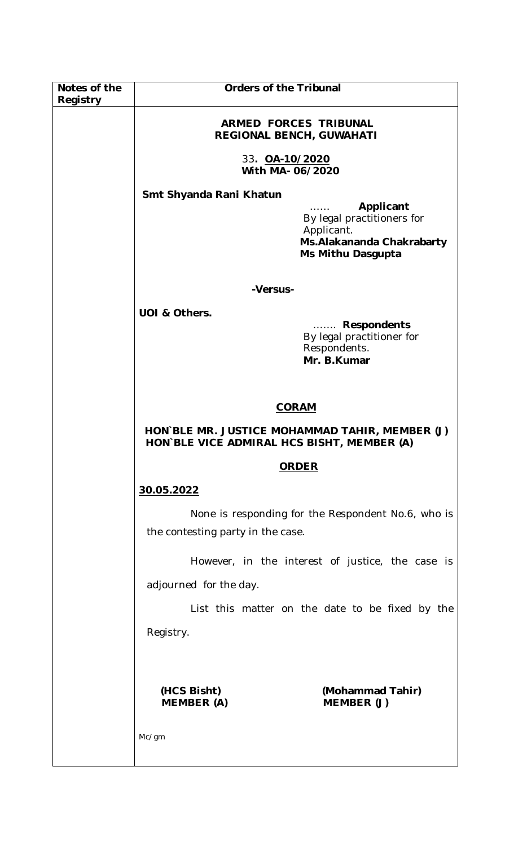| Notes of the<br>Registry | <b>Orders of the Tribunal</b>                                                                |                                                                                             |
|--------------------------|----------------------------------------------------------------------------------------------|---------------------------------------------------------------------------------------------|
|                          | <b>ARMED FORCES TRIBUNAL</b><br>REGIONAL BENCH, GUWAHATI                                     |                                                                                             |
|                          | 33. OA-10/2020<br>With MA-06/2020                                                            |                                                                                             |
|                          | Smt Shyanda Rani Khatun<br>Applicant                                                         |                                                                                             |
|                          |                                                                                              | By legal practitioners for<br>Applicant.<br>Ms. Alakananda Chakrabarty<br>Ms Mithu Dasgupta |
|                          | -Versus-                                                                                     |                                                                                             |
|                          | UOI & Others.                                                                                |                                                                                             |
|                          |                                                                                              | <b>Respondents</b><br>.<br>By legal practitioner for<br>Respondents.<br>Mr. B.Kumar         |
|                          | <b>CORAM</b>                                                                                 |                                                                                             |
|                          | HON BLE MR. JUSTICE MOHAMMAD TAHIR, MEMBER (J)<br>HON BLE VICE ADMIRAL HCS BISHT, MEMBER (A) |                                                                                             |
|                          | <b>ORDER</b>                                                                                 |                                                                                             |
|                          | 30.05.2022                                                                                   |                                                                                             |
|                          | the contesting party in the case.                                                            | None is responding for the Respondent No.6, who is                                          |
|                          |                                                                                              | However, in the interest of justice, the case is                                            |
|                          | adjourned for the day.                                                                       |                                                                                             |
|                          |                                                                                              | List this matter on the date to be fixed by the                                             |
|                          | Registry.                                                                                    |                                                                                             |
|                          |                                                                                              |                                                                                             |
|                          | (HCS Bisht)<br><b>MEMBER (A)</b>                                                             | (Mohammad Tahir)<br>MEMBER (J)                                                              |
|                          | Mc/gm                                                                                        |                                                                                             |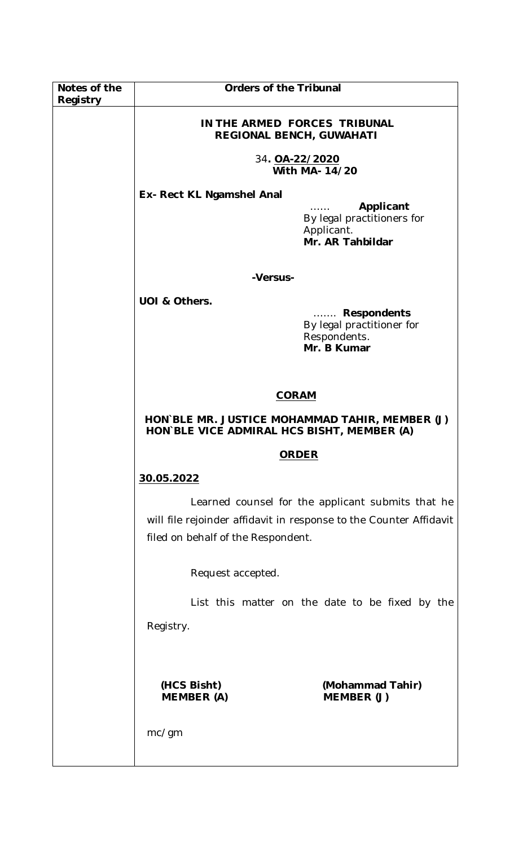| Notes of the<br>Registry | <b>Orders of the Tribunal</b>                                                                                                                                                      |                                                                                     |
|--------------------------|------------------------------------------------------------------------------------------------------------------------------------------------------------------------------------|-------------------------------------------------------------------------------------|
|                          | IN THE ARMED FORCES TRIBUNAL<br><b>REGIONAL BENCH, GUWAHATI</b>                                                                                                                    |                                                                                     |
|                          | 34. OA-22/2020<br>With MA- 14/20                                                                                                                                                   |                                                                                     |
|                          | Ex- Rect KL Ngamshel Anal                                                                                                                                                          | Applicant<br>By legal practitioners for                                             |
|                          |                                                                                                                                                                                    | Applicant.<br>Mr. AR Tahbildar                                                      |
|                          | -Versus-                                                                                                                                                                           |                                                                                     |
|                          | UOI & Others.                                                                                                                                                                      | <b>Respondents</b><br>.<br>By legal practitioner for<br>Respondents.<br>Mr. B Kumar |
|                          | <b>CORAM</b>                                                                                                                                                                       |                                                                                     |
|                          | HON BLE MR. JUSTICE MOHAMMAD TAHIR, MEMBER (J)<br>HON BLE VICE ADMIRAL HCS BISHT, MEMBER (A)                                                                                       |                                                                                     |
|                          | <b>ORDER</b>                                                                                                                                                                       |                                                                                     |
|                          | 30.05.2022                                                                                                                                                                         |                                                                                     |
|                          | Learned counsel for the applicant submits that he<br>will file rejoinder affidavit in response to the Counter Affidavit<br>filed on behalf of the Respondent.<br>Request accepted. |                                                                                     |
|                          |                                                                                                                                                                                    |                                                                                     |
|                          | List this matter on the date to be fixed by the                                                                                                                                    |                                                                                     |
|                          | Registry.                                                                                                                                                                          |                                                                                     |
|                          | (HCS Bisht)<br><b>MEMBER (A)</b>                                                                                                                                                   | (Mohammad Tahir)<br>MEMBER (J)                                                      |
|                          | mc/gm                                                                                                                                                                              |                                                                                     |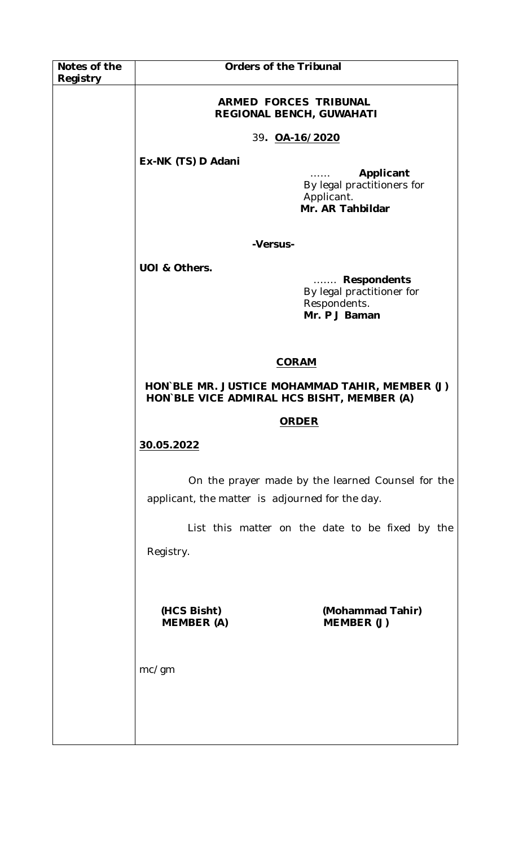| Notes of the | <b>Orders of the Tribunal</b>                                                                        |                                                                           |
|--------------|------------------------------------------------------------------------------------------------------|---------------------------------------------------------------------------|
| Registry     |                                                                                                      |                                                                           |
|              | <b>ARMED FORCES TRIBUNAL</b><br>REGIONAL BENCH, GUWAHATI                                             |                                                                           |
|              | 39. OA-16/2020                                                                                       |                                                                           |
|              | Ex-NK (TS) D Adani                                                                                   |                                                                           |
|              |                                                                                                      | Applicant<br>By legal practitioners for<br>Applicant.<br>Mr. AR Tahbildar |
|              | -Versus-                                                                                             |                                                                           |
|              | UOI & Others.                                                                                        |                                                                           |
|              |                                                                                                      | Respondents<br>By legal practitioner for<br>Respondents.<br>Mr. P J Baman |
|              | <b>CORAM</b>                                                                                         |                                                                           |
|              | HON BLE MR. JUSTICE MOHAMMAD TAHIR, MEMBER (J)<br>HON BLE VICE ADMIRAL HCS BISHT, MEMBER (A)         |                                                                           |
|              | <b>ORDER</b>                                                                                         |                                                                           |
|              | 30.05.2022                                                                                           |                                                                           |
|              | On the prayer made by the learned Counsel for the<br>applicant, the matter is adjourned for the day. |                                                                           |
|              | List this matter on the date to be fixed by the                                                      |                                                                           |
|              | Registry.                                                                                            |                                                                           |
|              |                                                                                                      |                                                                           |
|              | (HCS Bisht)<br><b>MEMBER (A)</b>                                                                     | (Mohammad Tahir)<br>MEMBER (J)                                            |
|              | mc/gm                                                                                                |                                                                           |
|              |                                                                                                      |                                                                           |
|              |                                                                                                      |                                                                           |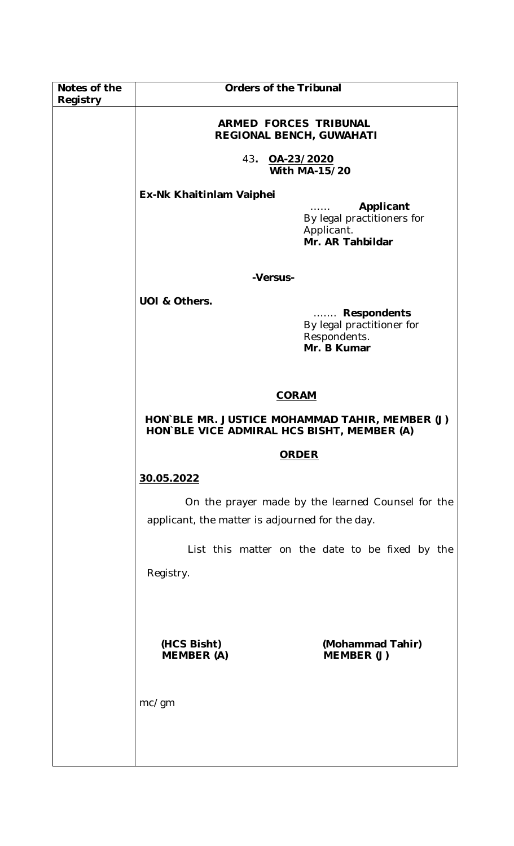| Notes of the | <b>Orders of the Tribunal</b>                                                                        |                                                                                     |
|--------------|------------------------------------------------------------------------------------------------------|-------------------------------------------------------------------------------------|
| Registry     | <b>ARMED FORCES TRIBUNAL</b><br><b>REGIONAL BENCH, GUWAHATI</b>                                      |                                                                                     |
|              | 43.<br>OA-23/2020<br><b>With MA-15/20</b>                                                            |                                                                                     |
|              | Ex-Nk Khaitinlam Vaiphei                                                                             | Applicant<br>By legal practitioners for<br>Applicant.<br>Mr. AR Tahbildar           |
|              | -Versus-                                                                                             |                                                                                     |
|              | UOI & Others.                                                                                        | <b>Respondents</b><br>.<br>By legal practitioner for<br>Respondents.<br>Mr. B Kumar |
|              | <b>CORAM</b>                                                                                         |                                                                                     |
|              | HON BLE MR. JUSTICE MOHAMMAD TAHIR, MEMBER (J)<br>HON BLE VICE ADMIRAL HCS BISHT, MEMBER (A)         |                                                                                     |
|              | <b>ORDER</b>                                                                                         |                                                                                     |
|              | 30.05.2022                                                                                           |                                                                                     |
|              | On the prayer made by the learned Counsel for the<br>applicant, the matter is adjourned for the day. |                                                                                     |
|              | Registry.                                                                                            | List this matter on the date to be fixed by the                                     |
|              | (HCS Bisht)<br><b>MEMBER (A)</b>                                                                     | (Mohammad Tahir)<br>MEMBER (J)                                                      |
|              | mc/gm                                                                                                |                                                                                     |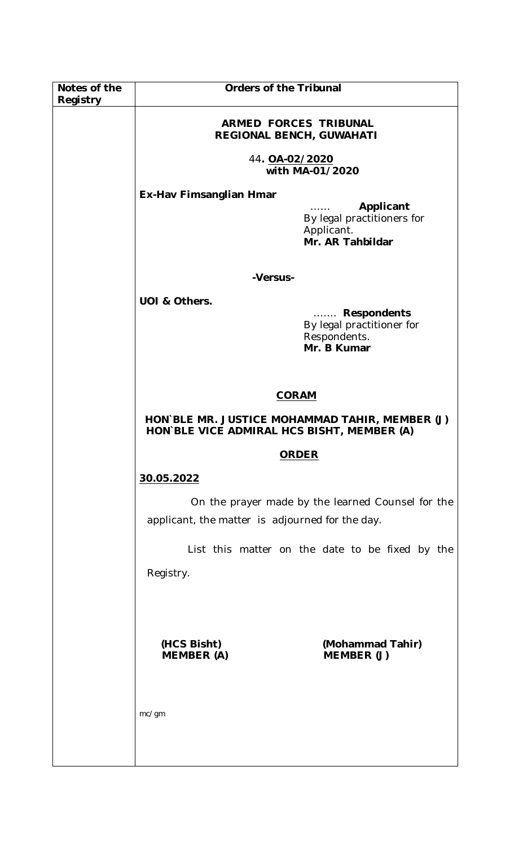| Notes of the | <b>Orders of the Tribunal</b>                                                                        |                                                                                     |
|--------------|------------------------------------------------------------------------------------------------------|-------------------------------------------------------------------------------------|
| Registry     | <b>ARMED FORCES TRIBUNAL</b><br>REGIONAL BENCH, GUWAHATI                                             |                                                                                     |
|              | 44. OA-02/2020<br>with MA-01/2020                                                                    |                                                                                     |
|              | Ex-Hav Fimsanglian Hmar                                                                              | Applicant<br>By legal practitioners for                                             |
|              |                                                                                                      | Applicant.<br>Mr. AR Tahbildar                                                      |
|              | -Versus-                                                                                             |                                                                                     |
|              | UOI & Others.                                                                                        | <b>Respondents</b><br>.<br>By legal practitioner for<br>Respondents.<br>Mr. B Kumar |
|              | <b>CORAM</b>                                                                                         |                                                                                     |
|              | HON BLE MR. JUSTICE MOHAMMAD TAHIR, MEMBER (J)<br>HON BLE VICE ADMIRAL HCS BISHT, MEMBER (A)         |                                                                                     |
|              | <b>ORDER</b>                                                                                         |                                                                                     |
|              | 30.05.2022                                                                                           |                                                                                     |
|              | On the prayer made by the learned Counsel for the<br>applicant, the matter is adjourned for the day. |                                                                                     |
|              | List this matter on the date to be fixed by the                                                      |                                                                                     |
|              | Registry.                                                                                            |                                                                                     |
|              |                                                                                                      |                                                                                     |
|              | (HCS Bisht)<br><b>MEMBER (A)</b>                                                                     | (Mohammad Tahir)<br>MEMBER (J)                                                      |
|              | mc/gm                                                                                                |                                                                                     |
|              |                                                                                                      |                                                                                     |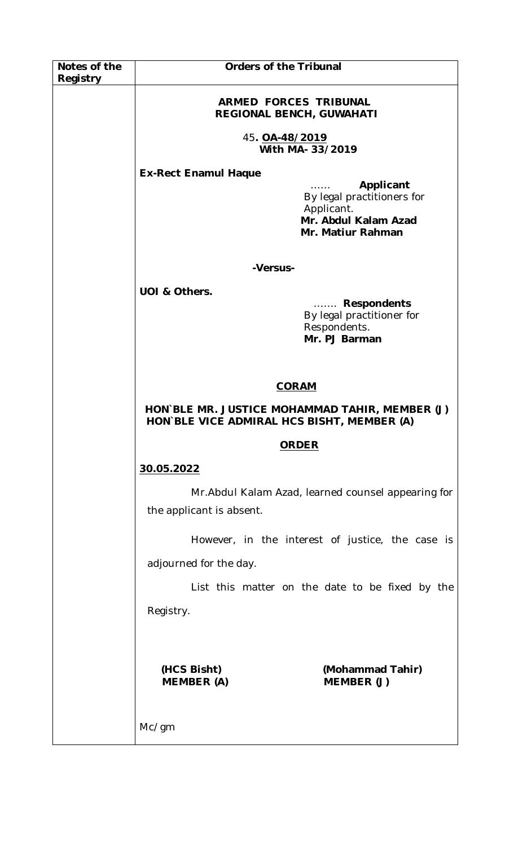| Notes of the | <b>Orders of the Tribunal</b>                                                                |                                                                                                    |
|--------------|----------------------------------------------------------------------------------------------|----------------------------------------------------------------------------------------------------|
| Registry     | <b>ARMED FORCES TRIBUNAL</b><br><b>REGIONAL BENCH, GUWAHATI</b>                              |                                                                                                    |
|              | 45. OA-48/2019<br>With MA- 33/2019                                                           |                                                                                                    |
|              | <b>Ex-Rect Enamul Haque</b>                                                                  | Applicant<br>By legal practitioners for<br>Applicant.<br>Mr. Abdul Kalam Azad<br>Mr. Matiur Rahman |
|              |                                                                                              |                                                                                                    |
|              | -Versus-                                                                                     |                                                                                                    |
|              | UOI & Others.                                                                                | <b>Respondents</b><br>.<br>By legal practitioner for<br>Respondents.<br>Mr. PJ Barman              |
|              | <b>CORAM</b>                                                                                 |                                                                                                    |
|              | HON BLE MR. JUSTICE MOHAMMAD TAHIR, MEMBER (J)<br>HON BLE VICE ADMIRAL HCS BISHT, MEMBER (A) |                                                                                                    |
|              | <b>ORDER</b>                                                                                 |                                                                                                    |
|              | 30.05.2022                                                                                   |                                                                                                    |
|              | Mr. Abdul Kalam Azad, learned counsel appearing for<br>the applicant is absent.              |                                                                                                    |
|              | However, in the interest of justice, the case is                                             |                                                                                                    |
|              | adjourned for the day.                                                                       |                                                                                                    |
|              |                                                                                              | List this matter on the date to be fixed by the                                                    |
|              | Registry.                                                                                    |                                                                                                    |
|              |                                                                                              |                                                                                                    |
|              | (HCS Bisht)<br><b>MEMBER (A)</b>                                                             | (Mohammad Tahir)<br>MEMBER (J)                                                                     |
|              | Mc/gm                                                                                        |                                                                                                    |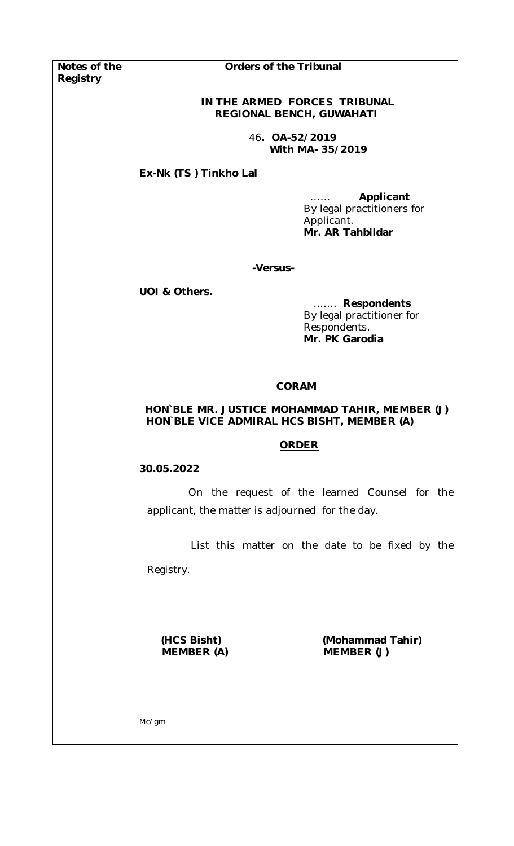| Notes of the | <b>Orders of the Tribunal</b>                                                                           |  |
|--------------|---------------------------------------------------------------------------------------------------------|--|
| Registry     |                                                                                                         |  |
|              | IN THE ARMED FORCES TRIBUNAL<br>REGIONAL BENCH, GUWAHATI                                                |  |
|              | 46. <b>OA-52/2019</b><br>With MA- 35/2019                                                               |  |
|              | Ex-Nk (TS) Tinkho Lal                                                                                   |  |
|              | Applicant<br>.<br>By legal practitioners for<br>Applicant.<br>Mr. AR Tahbildar                          |  |
|              | -Versus-                                                                                                |  |
|              |                                                                                                         |  |
|              | UOI & Others.<br><b>Respondents</b><br>.<br>By legal practitioner for<br>Respondents.<br>Mr. PK Garodia |  |
|              |                                                                                                         |  |
|              | <b>CORAM</b>                                                                                            |  |
|              | HON BLE MR. JUSTICE MOHAMMAD TAHIR, MEMBER (J)<br>HON BLE VICE ADMIRAL HCS BISHT, MEMBER (A)            |  |
|              | <b>ORDER</b>                                                                                            |  |
|              | 30.05.2022                                                                                              |  |
|              | On the request of the learned Counsel for the<br>applicant, the matter is adjourned for the day.        |  |
|              | List this matter on the date to be fixed by the                                                         |  |
|              | Registry.                                                                                               |  |
|              | (HCS Bisht)<br>(Mohammad Tahir)<br><b>MEMBER (A)</b><br>MEMBER (J)                                      |  |
|              | Mc/gm                                                                                                   |  |